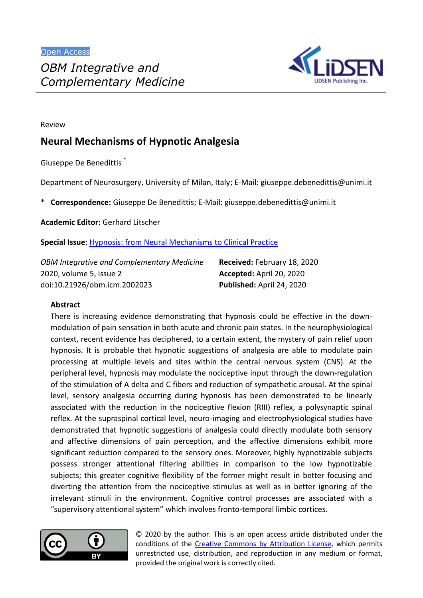

Review

# **Neural Mechanisms of Hypnotic Analgesia**

Giuseppe De Benedittis \*

Department of Neurosurgery, University of Milan, Italy; E-Mail: giuseppe.debenedittis@unimi.it

\* **Correspondence:** Giuseppe De Benedittis; E-Mail: giuseppe.debenedittis@unimi.it

**Academic Editor:** Gerhard Litscher

**Special Issue**: [Hypnosis: from Neural Mechanisms to Clinical Practice](http://www.lidsen.com/journals/icm/icm-special-issues/Hypn-Neural-Mech-Clin-Pract)

*OBM Integrative and Complementary Medicine* 2020, volume 5, issue 2 doi:10.21926/obm.icm.2002023

**Received:** February 18, 2020 **Accepted:** April 20, 2020 **Published:** April 24, 2020

#### **Abstract**

There is increasing evidence demonstrating that hypnosis could be effective in the downmodulation of pain sensation in both acute and chronic pain states. In the neurophysiological context, recent evidence has deciphered, to a certain extent, the mystery of pain relief upon hypnosis. It is probable that hypnotic suggestions of analgesia are able to modulate pain processing at multiple levels and sites within the central nervous system (CNS). At the peripheral level, hypnosis may modulate the nociceptive input through the down-regulation of the stimulation of A delta and C fibers and reduction of sympathetic arousal. At the spinal level, sensory analgesia occurring during hypnosis has been demonstrated to be linearly associated with the reduction in the nociceptive flexion (RIII) reflex, a polysynaptic spinal reflex. At the supraspinal cortical level, neuro-imaging and electrophysiological studies have demonstrated that hypnotic suggestions of analgesia could directly modulate both sensory and affective dimensions of pain perception, and the affective dimensions exhibit more significant reduction compared to the sensory ones. Moreover, highly hypnotizable subjects possess stronger attentional filtering abilities in comparison to the low hypnotizable subjects; this greater cognitive flexibility of the former might result in better focusing and diverting the attention from the nociceptive stimulus as well as in better ignoring of the irrelevant stimuli in the environment. Cognitive control processes are associated with a "supervisory attentional system" which involves fronto-temporal limbic cortices.



© 2020 by the author. This is an open access article distributed under the conditions of the Creative Commons by Attribution License, which permits unrestricted use, distribution, and reproduction in any medium or format, provided the original work is correctly cited.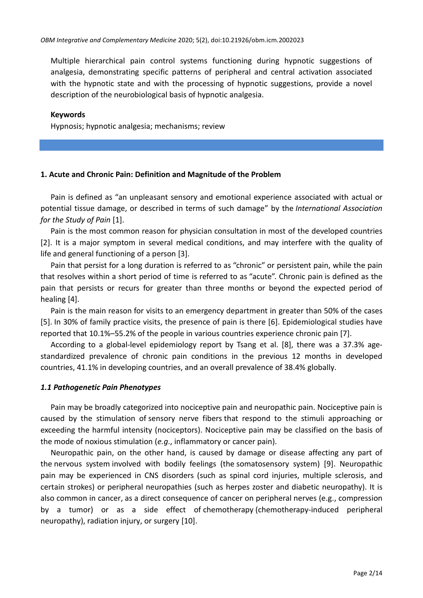Multiple hierarchical pain control systems functioning during hypnotic suggestions of analgesia, demonstrating specific patterns of peripheral and central activation associated with the hypnotic state and with the processing of hypnotic suggestions, provide a novel description of the neurobiological basis of hypnotic analgesia.

#### **Keywords**

Hypnosis; hypnotic analgesia; mechanisms; review

#### **1. Acute and Chronic Pain: Definition and Magnitude of the Problem**

Pain is defined as "an unpleasant sensory and emotional experience associated with actual or potential tissue damage, or described in terms of such damage" by the *International Association for the Study of Pain* [1].

Pain is the most common reason for physician consultation in most of the developed countries [2]. It is a major symptom in several medical conditions, and may interfere with the quality of [life](https://en.wikipedia.org/wiki/Quality_of_life) and general functioning of a person  $[3].$ 

Pain that persist for a long duration is referred to as ["chronic"](https://en.wikipedia.org/wiki/Chronic_pain) or persistent pain, while the pain that resolves within a short period of time is referred to as ["acute"](https://en.wikipedia.org/wiki/Acute_(medicine)). Chronic pain is defined as the pain that persists or recurs for greater than three months or beyond the expected period of healing  $[4]$ .

Pain is the main reason for visits to an emergency department in greater than 50% of the cases [5]. In 30% of family practice visits, the presence of pain is there [6]. Epidemiological studies have reported that 10.1%–55.2% of the people in various countries experience chronic pain [7].

According to a global-level epidemiology report by Tsang et al. [8], there was a 37.3% agestandardized prevalence of chronic pain conditions in the previous 12 months in developed countries, 41.1% in developing countries, and an overall prevalence of 38.4% globally.

#### *1.1 Pathogenetic Pain Phenotypes*

Pain may be broadly categorized into nociceptive pain and neuropathic pain. Nociceptive pain is caused by the stimulation of [sensory nerve fibers](https://en.wikipedia.org/wiki/Sensory_nervous_system) that respond to the stimuli approaching or exceeding the harmful intensity [\(nociceptors\)](https://en.wikipedia.org/wiki/Nociceptor). Nociceptive pain may be classified on the basis of the mode of noxious stimulation (*e.g*., inflammatory or cancer pain).

Neuropathic pain, on the other hand, is caused by damage or disease affecting any part of the [nervous system](https://en.wikipedia.org/wiki/Nervous_system) involved with bodily feelings (the [somatosensory system\)](https://en.wikipedia.org/wiki/Somatosensory_system) [9]. Neuropathic pain may be experienced in CNS disorders (such as spinal cord injuries, multiple sclerosis, and certain strokes) or peripheral neuropathies (such as herpes zoster and diabetic neuropathy). It is also common in cancer, as a direct consequence of cancer on peripheral nerves (e.g., compression by a tumor) or as a side effect of chemotherapy (chemotherapy-induced peripheral neuropathy), radiation injury, or surgery  $[10]$ .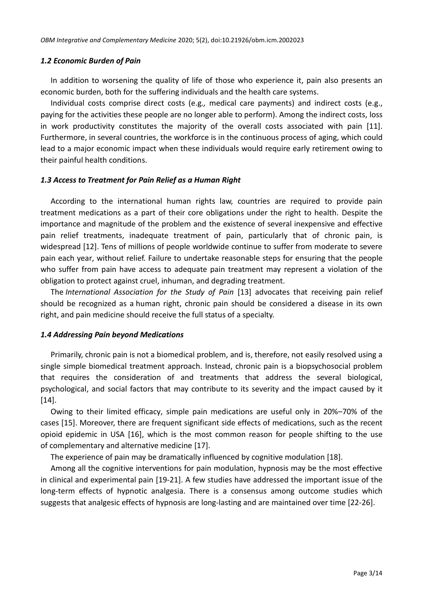## *1.2 Economic Burden of Pain*

In addition to worsening the quality of life of those who experience it, pain also presents an economic burden, both for the suffering individuals and the health care systems.

Individual costs comprise direct costs (e.g*.,* medical care payments) and indirect costs (e.g., paying for the activities these people are no longer able to perform). Among the indirect costs, loss in work productivity constitutes the majority of the overall costs associated with pain  $[11]$ . Furthermore, in several countries, the workforce is in the continuous process of aging, which could lead to a major economic impact when these individuals would require early retirement owing to their painful health conditions.

## *1.3 Access to Treatment for Pain Relief as a Human Right*

According to the international human rights law, countries are required to provide pain treatment medications as a part of their core obligations under the right to health. Despite the importance and magnitude of the problem and the existence of several inexpensive and effective pain relief treatments, inadequate treatment of pain, particularly that of chronic pain, is widespread [12]. Tens of millions of people worldwide continue to suffer from moderate to severe pain each year, without relief. Failure to undertake reasonable steps for ensuring that the people who suffer from pain have access to adequate pain treatment may represent a violation of the obligation to protect against cruel, inhuman, and degrading treatment.

The *International Association for the Study of Pain* [13] advocates that receiving pain relief should be recognized as a [human right,](https://en.wikipedia.org/wiki/Human_right) chronic pain should be considered a disease in its own right, and pain medicine should receive the full status of a specialty.

# *1.4 Addressing Pain beyond Medications*

Primarily, chronic pain is not a biomedical problem, and is, therefore, not easily resolved using a single simple biomedical treatment approach. Instead, chronic pain is a biopsychosocial problem that requires the consideration of and treatments that address the several biological, psychological, and social factors that may contribute to its severity and the impact caused by it  $[14]$ .

Owing to their limited efficacy, simple pain medications are useful only in 20%–70% of the cases [15]. Moreover, there are frequent significant side effects of medications, such as the recent opioid epidemic in USA [16], which is the most common reason for people shifting to the use of complementary and alternative medicine [17].

The experience of pain may be dramatically influenced by cognitive modulation [18].

Among all the cognitive interventions for pain modulation, hypnosis may be the most effective in clinical and experimental pain [19-21]. A few studies have addressed the important issue of the long-term effects of hypnotic analgesia. There is a consensus among outcome studies which suggests that analgesic effects of hypnosis are long-lasting and are maintained over time [22-26].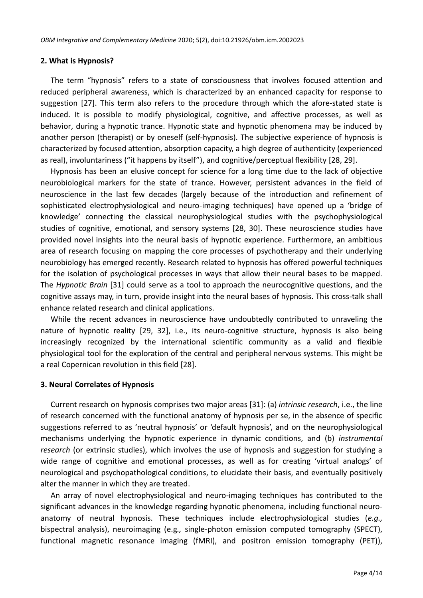# **2. What is Hypnosis?**

The term "hypnosis" refers to a state of consciousness that involves focused attention and reduced peripheral awareness, which is characterized by an enhanced capacity for response to suggestion [27]. This term also refers to the procedure through which the afore-stated state is induced. It is possible to modify physiological, cognitive, and affective processes, as well as behavior, during a hypnotic trance. Hypnotic state and hypnotic phenomena may be induced by another person (therapist) or by oneself (self-hypnosis). The subjective experience of hypnosis is characterized by focused attention, absorption capacity, a high degree of authenticity (experienced as real), involuntariness ("it happens by itself"), and cognitive/perceptual flexibility [28, 29].

Hypnosis has been an elusive concept for science for a long time due to the lack of objective neurobiological markers for the state of trance. However, persistent advances in the field of neuroscience in the last few decades (largely because of the introduction and refinement of sophisticated electrophysiological and neuro-imaging techniques) have opened up a 'bridge of knowledge' connecting the classical neurophysiological studies with the psychophysiological studies of cognitive, emotional, and sensory systems [28, 30]. These neuroscience studies have provided novel insights into the neural basis of hypnotic experience. Furthermore, an ambitious area of research focusing on mapping the core processes of psychotherapy and their underlying neurobiology has emerged recently. Research related to hypnosis has offered powerful techniques for the isolation of psychological processes in ways that allow their neural bases to be mapped. The *Hypnotic Brain* [31] could serve as a tool to approach the neurocognitive questions, and the cognitive assays may, in turn, provide insight into the neural bases of hypnosis. This cross-talk shall enhance related research and clinical applications.

While the recent advances in neuroscience have undoubtedly contributed to unraveling the nature of hypnotic reality [29, 32], i.e., its neuro-cognitive structure, hypnosis is also being increasingly recognized by the international scientific community as a valid and flexible physiological tool for the exploration of the central and peripheral nervous systems. This might be a real Copernican revolution in this field [28].

# **3. Neural Correlates of Hypnosis**

Current research on hypnosis comprises two major areas [31]: (a) *intrinsic research*, i.e., the line of research concerned with the functional anatomy of hypnosis per se, in the absence of specific suggestions referred to as 'neutral hypnosis' or 'default hypnosis', and on the neurophysiological mechanisms underlying the hypnotic experience in dynamic conditions, and (b) *instrumental research* (or extrinsic studies), which involves the use of hypnosis and suggestion for studying a wide range of cognitive and emotional processes, as well as for creating 'virtual analogs' of neurological and psychopathological conditions, to elucidate their basis, and eventually positively alter the manner in which they are treated.

An array of novel electrophysiological and neuro-imaging techniques has contributed to the significant advances in the knowledge regarding hypnotic phenomena, including functional neuroanatomy of neutral hypnosis. These techniques include electrophysiological studies (*e.g.,* bispectral analysis), neuroimaging (e.g*.,* single-photon emission computed tomography (SPECT), functional magnetic resonance imaging (fMRI), and positron emission tomography (PET)),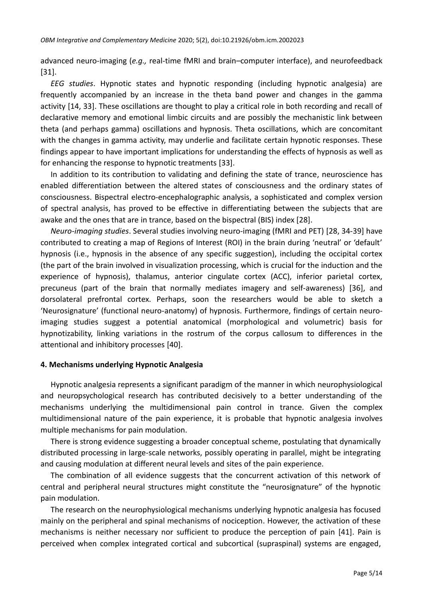advanced neuro-imaging (*e.g.,* real-time fMRI and brain–computer interface), and neurofeedback  $[31].$ 

*EEG studies*. Hypnotic states and hypnotic responding (including hypnotic analgesia) are frequently accompanied by an increase in the theta band power and changes in the gamma activity [14, 33]. These oscillations are thought to play a critical role in both recording and recall of declarative memory and emotional limbic circuits and are possibly the mechanistic link between theta (and perhaps gamma) oscillations and hypnosis. Theta oscillations, which are concomitant with the changes in gamma activity, may underlie and facilitate certain hypnotic responses. These findings appear to have important implications for understanding the effects of hypnosis as well as for enhancing the response to hypnotic treatments [33].

In addition to its contribution to validating and defining the state of trance, neuroscience has enabled differentiation between the altered states of consciousness and the ordinary states of consciousness. Bispectral electro-encephalographic analysis, a sophisticated and complex version of spectral analysis, has proved to be effective in differentiating between the subjects that are awake and the ones that are in trance, based on the bispectral (BIS) index [28].

*Neuro-imaging studies*. Several studies involving neuro-imaging (fMRI and PET) [28, 34-39] have contributed to creating a map of Regions of Interest (ROI) in the brain during 'neutral' or 'default' hypnosis (i.e., hypnosis in the absence of any specific suggestion), including the occipital cortex (the part of the brain involved in visualization processing, which is crucial for the induction and the experience of hypnosis), thalamus, anterior cingulate cortex (ACC), inferior parietal cortex, precuneus (part of the brain that normally mediates imagery and self-awareness) [36], and dorsolateral prefrontal cortex. Perhaps, soon the researchers would be able to sketch a 'Neurosignature' (functional neuro-anatomy) of hypnosis. Furthermore, findings of certain neuroimaging studies suggest a potential anatomical (morphological and volumetric) basis for hypnotizability, linking variations in the rostrum of the corpus callosum to differences in the attentional and inhibitory processes [40].

#### **4. Mechanisms underlying Hypnotic Analgesia**

Hypnotic analgesia represents a significant paradigm of the manner in which neurophysiological and neuropsychological research has contributed decisively to a better understanding of the mechanisms underlying the multidimensional pain control in trance. Given the complex multidimensional nature of the pain experience, it is probable that hypnotic analgesia involves multiple mechanisms for pain modulation.

There is strong evidence suggesting a broader conceptual scheme, postulating that dynamically distributed processing in large-scale networks, possibly operating in parallel, might be integrating and causing modulation at different neural levels and sites of the pain experience.

The combination of all evidence suggests that the concurrent activation of this network of central and peripheral neural structures might constitute the "neurosignature" of the hypnotic pain modulation.

The research on the neurophysiological mechanisms underlying hypnotic analgesia has focused mainly on the peripheral and spinal mechanisms of nociception. However, the activation of these mechanisms is neither necessary nor sufficient to produce the perception of pain [41]. Pain is perceived when complex integrated cortical and subcortical (supraspinal) systems are engaged,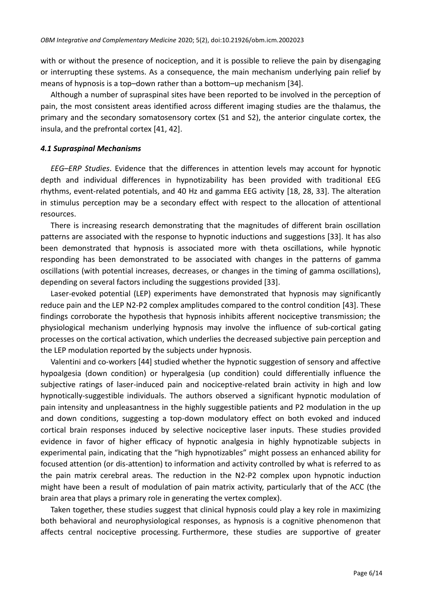with or without the presence of nociception, and it is possible to relieve the pain by disengaging or interrupting these systems. As a consequence, the main mechanism underlying pain relief by means of hypnosis is a top-down rather than a bottom-up mechanism  $[34]$ .

Although a number of supraspinal sites have been reported to be involved in the perception of pain, the most consistent areas identified across different imaging studies are the thalamus, the primary and the secondary somatosensory cortex (S1 and S2), the anterior cingulate cortex, the insula, and the prefrontal cortex  $[41, 42].$ 

#### *4.1 Supraspinal Mechanisms*

*EEG–ERP Studies*. Evidence that the differences in attention levels may account for hypnotic depth and individual differences in hypnotizability has been provided with traditional EEG rhythms, event-related potentials, and 40 Hz and gamma EEG activity [18, 28, 33]. The alteration in stimulus perception may be a secondary effect with respect to the allocation of attentional resources.

There is increasing research demonstrating that the magnitudes of different brain oscillation patterns are associated with the response to hypnotic inductions and suggestions [33]. It has also been demonstrated that hypnosis is associated more with theta oscillations, while hypnotic responding has been demonstrated to be associated with changes in the patterns of gamma oscillations (with potential increases, decreases, or changes in the timing of gamma oscillations), depending on several factors including the suggestions provided [33].

Laser-evoked potential (LEP) experiments have demonstrated that hypnosis may significantly reduce pain and the LEP N2-P2 complex amplitudes compared to the control condition [43]. These findings corroborate the hypothesis that hypnosis inhibits afferent nociceptive transmission; the physiological mechanism underlying hypnosis may involve the influence of sub-cortical gating processes on the cortical activation, which underlies the decreased subjective pain perception and the LEP modulation reported by the subjects under hypnosis.

Valentini and co-workers [44] studied whether the hypnotic suggestion of sensory and affective hypoalgesia (down condition) or hyperalgesia (up condition) could differentially influence the subjective ratings of laser-induced pain and nociceptive-related brain activity in high and low hypnotically-suggestible individuals. The authors observed a significant hypnotic modulation of pain intensity and unpleasantness in the highly suggestible patients and P2 modulation in the up and down conditions, suggesting a top-down modulatory effect on both evoked and induced cortical brain responses induced by selective nociceptive laser inputs. These studies provided evidence in favor of higher efficacy of hypnotic analgesia in highly hypnotizable subjects in experimental pain, indicating that the "high hypnotizables" might possess an enhanced ability for focused attention (or dis-attention) to information and activity controlled by what is referred to as the pain matrix cerebral areas. The reduction in the N2-P2 complex upon hypnotic induction might have been a result of modulation of pain matrix activity, particularly that of the ACC (the brain area that plays a primary role in generating the vertex complex).

Taken together, these studies suggest that clinical hypnosis could play a key role in maximizing both behavioral and neurophysiological responses, as hypnosis is a cognitive phenomenon that affects central nociceptive processing. Furthermore, these studies are supportive of greater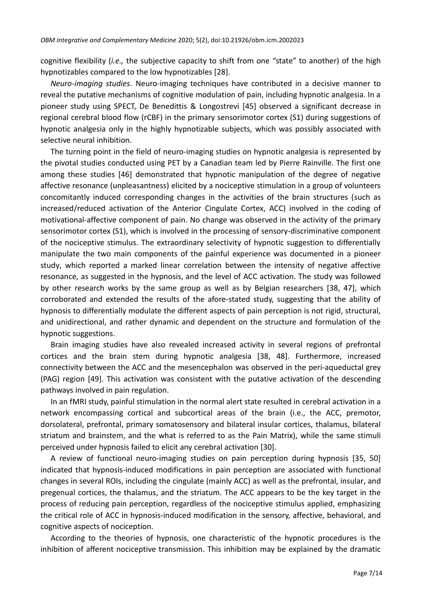cognitive flexibility (*i.e.,* the subjective capacity to shift from one "state" to another) of the high hypnotizables compared to the low hypnotizables [28].

*Neuro-imaging studies*. Neuro-imaging techniques have contributed in a decisive manner to reveal the putative mechanisms of cognitive modulation of pain, including hypnotic analgesia. In a pioneer study using SPECT, De Benedittis & Longostrevi [45] observed a significant decrease in regional cerebral blood flow (rCBF) in the primary sensorimotor cortex (S1) during suggestions of hypnotic analgesia only in the highly hypnotizable subjects, which was possibly associated with selective neural inhibition.

The turning point in the field of neuro-imaging studies on hypnotic analgesia is represented by the pivotal studies conducted using PET by a Canadian team led by Pierre Rainville. The first one among these studies [46] demonstrated that hypnotic manipulation of the degree of negative affective resonance (unpleasantness) elicited by a nociceptive stimulation in a group of volunteers concomitantly induced corresponding changes in the activities of the brain structures (such as increased/reduced activation of the Anterior Cingulate Cortex, ACC) involved in the coding of motivational-affective component of pain. No change was observed in the activity of the primary sensorimotor cortex (S1), which is involved in the processing of sensory-discriminative component of the nociceptive stimulus. The extraordinary selectivity of hypnotic suggestion to differentially manipulate the two main components of the painful experience was documented in a pioneer study, which reported a marked linear correlation between the intensity of negative affective resonance, as suggested in the hypnosis, and the level of ACC activation. The study was followed by other research works by the same group as well as by Belgian researchers [38, 47], which corroborated and extended the results of the afore-stated study, suggesting that the ability of hypnosis to differentially modulate the different aspects of pain perception is not rigid, structural, and unidirectional, and rather dynamic and dependent on the structure and formulation of the hypnotic suggestions.

Brain imaging studies have also revealed increased activity in several regions of prefrontal cortices and the brain stem during hypnotic analgesia [38, 48]. Furthermore, increased connectivity between the ACC and the mesencephalon was observed in the peri-aqueductal grey (PAG) region [49]. This activation was consistent with the putative activation of the descending pathways involved in pain regulation.

In an fMRI study, painful stimulation in the normal alert state resulted in cerebral activation in a network encompassing cortical and subcortical areas of the brain (i.e., the ACC, premotor, dorsolateral, prefrontal, primary somatosensory and bilateral insular cortices, thalamus, bilateral striatum and brainstem, and the what is referred to as the Pain Matrix), while the same stimuli perceived under hypnosis failed to elicit any cerebral activation [30].

A review of functional neuro-imaging studies on pain perception during hypnosis [35, 50] indicated that hypnosis-induced modifications in pain perception are associated with functional changes in several ROIs, including the cingulate (mainly ACC) as well as the prefrontal, insular, and pregenual cortices, the thalamus, and the striatum. The ACC appears to be the key target in the process of reducing pain perception, regardless of the nociceptive stimulus applied, emphasizing the critical role of ACC in hypnosis-induced modification in the sensory, affective, behavioral, and cognitive aspects of nociception.

According to the theories of hypnosis, one characteristic of the hypnotic procedures is the inhibition of afferent nociceptive transmission. This inhibition may be explained by the dramatic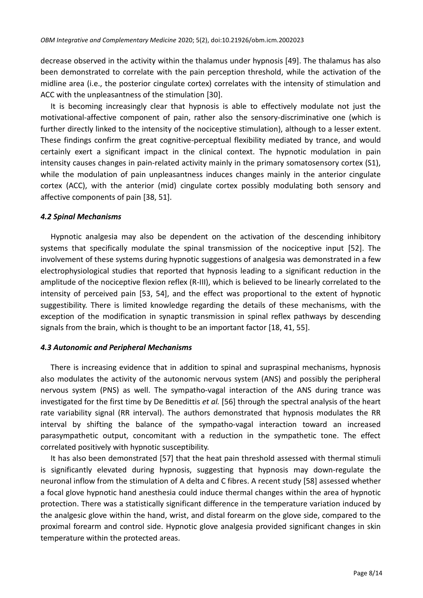decrease observed in the activity within the thalamus under hypnosis [49]. The thalamus has also been demonstrated to correlate with the pain perception threshold, while the activation of the midline area (i.e., the posterior cingulate cortex) correlates with the intensity of stimulation and ACC with the unpleasantness of the stimulation [30].

It is becoming increasingly clear that hypnosis is able to effectively modulate not just the motivational-affective component of pain, rather also the sensory-discriminative one (which is further directly linked to the intensity of the nociceptive stimulation), although to a lesser extent. These findings confirm the great cognitive-perceptual flexibility mediated by trance, and would certainly exert a significant impact in the clinical context. The hypnotic modulation in pain intensity causes changes in pain-related activity mainly in the primary somatosensory cortex (S1), while the modulation of pain unpleasantness induces changes mainly in the anterior cingulate cortex (ACC), with the anterior (mid) cingulate cortex possibly modulating both sensory and affective components of pain [38, 51].

#### *4.2 Spinal Mechanisms*

Hypnotic analgesia may also be dependent on the activation of the descending inhibitory systems that specifically modulate the spinal transmission of the nociceptive input [52]. The involvement of these systems during hypnotic suggestions of analgesia was demonstrated in a few electrophysiological studies that reported that hypnosis leading to a significant reduction in the amplitude of the nociceptive flexion reflex (R-III), which is believed to be linearly correlated to the intensity of perceived pain [53, 54], and the effect was proportional to the extent of hypnotic suggestibility. There is limited knowledge regarding the details of these mechanisms, with the exception of the modification in synaptic transmission in spinal reflex pathways by descending signals from the brain, which is thought to be an important factor  $[18, 41, 55].$ 

#### *4.3 Autonomic and Peripheral Mechanisms*

There is increasing evidence that in addition to spinal and supraspinal mechanisms, hypnosis also modulates the activity of the autonomic nervous system (ANS) and possibly the peripheral nervous system (PNS) as well. The sympatho-vagal interaction of the ANS during trance was investigated for the first time by De Benedittis *et al.* [56] through the spectral analysis of the heart rate variability signal (RR interval). The authors demonstrated that hypnosis modulates the RR interval by shifting the balance of the sympatho-vagal interaction toward an increased parasympathetic output, concomitant with a reduction in the sympathetic tone. The effect correlated positively with hypnotic susceptibility.

It has also been demonstrated [57] that the heat pain threshold assessed with thermal stimuli is significantly elevated during hypnosis, suggesting that hypnosis may down-regulate the neuronal inflow from the stimulation of A delta and C fibres. A recent study [58] assessed whether a focal glove hypnotic hand anesthesia could induce thermal changes within the area of hypnotic protection. There was a statistically significant difference in the temperature variation induced by the analgesic glove within the hand, wrist, and distal forearm on the glove side, compared to the proximal forearm and control side. Hypnotic glove analgesia provided significant changes in skin temperature within the protected areas.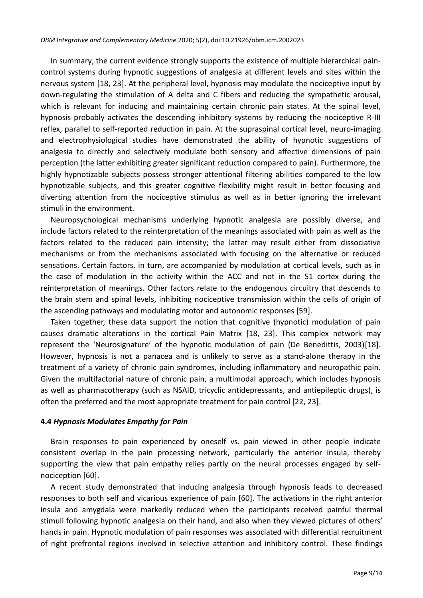In summary, the current evidence strongly supports the existence of multiple hierarchical paincontrol systems during hypnotic suggestions of analgesia at different levels and sites within the nervous system [18, 23]. At the peripheral level, hypnosis may modulate the nociceptive input by down-regulating the stimulation of A delta and C fibers and reducing the sympathetic arousal, which is relevant for inducing and maintaining certain chronic pain states. At the spinal level, hypnosis probably activates the descending inhibitory systems by reducing the nociceptive R-III reflex, parallel to self-reported reduction in pain. At the supraspinal cortical level, neuro-imaging and electrophysiological studies have demonstrated the ability of hypnotic suggestions of analgesia to directly and selectively modulate both sensory and affective dimensions of pain perception (the latter exhibiting greater significant reduction compared to pain). Furthermore, the highly hypnotizable subjects possess stronger attentional filtering abilities compared to the low hypnotizable subjects, and this greater cognitive flexibility might result in better focusing and diverting attention from the nociceptive stimulus as well as in better ignoring the irrelevant stimuli in the environment.

Neuropsychological mechanisms underlying hypnotic analgesia are possibly diverse, and include factors related to the reinterpretation of the meanings associated with pain as well as the factors related to the reduced pain intensity; the latter may result either from dissociative mechanisms or from the mechanisms associated with focusing on the alternative or reduced sensations. Certain factors, in turn, are accompanied by modulation at cortical levels, such as in the case of modulation in the activity within the ACC and not in the S1 cortex during the reinterpretation of meanings. Other factors relate to the endogenous circuitry that descends to the brain stem and spinal levels, inhibiting nociceptive transmission within the cells of origin of the ascending pathways and modulating motor and autonomic responses [59].

Taken together, these data support the notion that cognitive (hypnotic) modulation of pain causes dramatic alterations in the cortical Pain Matrix [18, 23]. This complex network may represent the 'Neurosignature' of the hypnotic modulation of pain (De Benedittis, 2003)[18]. However, hypnosis is not a panacea and is unlikely to serve as a stand-alone therapy in the treatment of a variety of chronic pain syndromes, including inflammatory and neuropathic pain. Given the multifactorial nature of chronic pain, a multimodal approach, which includes hypnosis as well as pharmacotherapy (such as NSAID, tricyclic antidepressants, and antiepileptic drugs), is often the preferred and the most appropriate treatment for pain control  $[22, 23]$ .

#### **4.4** *Hypnosis Modulates Empathy for Pain*

Brain responses to pain experienced by oneself vs. pain viewed in other people indicate consistent overlap in the pain processing network, particularly the anterior insula, thereby supporting the view that pain empathy relies partly on the neural processes engaged by selfnociception [60].

A recent study demonstrated that inducing analgesia through hypnosis leads to decreased responses to both self and vicarious experience of pain [60]. The activations in the right anterior insula and amygdala were markedly reduced when the participants received painful thermal stimuli following hypnotic analgesia on their hand, and also when they viewed pictures of others' hands in pain. Hypnotic modulation of pain responses was associated with differential recruitment of right prefrontal regions involved in selective attention and inhibitory control. These findings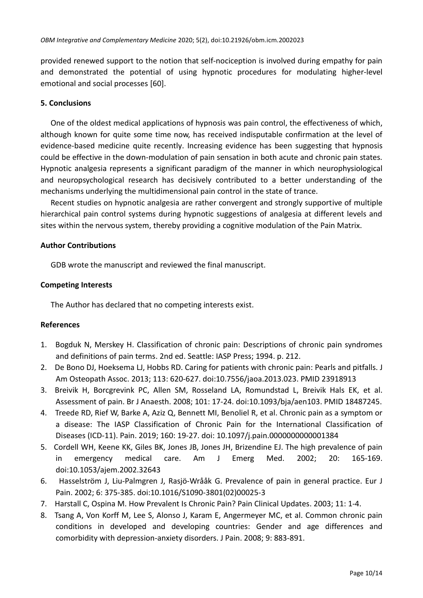provided renewed support to the notion that self-nociception is involved during empathy for pain and demonstrated the potential of using hypnotic procedures for modulating higher-level emotional and social processes [60].

# **5. Conclusions**

One of the oldest medical applications of hypnosis was pain control, the effectiveness of which, although known for quite some time now, has received indisputable confirmation at the level of evidence-based medicine quite recently. Increasing evidence has been suggesting that hypnosis could be effective in the down-modulation of pain sensation in both acute and chronic pain states. Hypnotic analgesia represents a significant paradigm of the manner in which neurophysiological and neuropsychological research has decisively contributed to a better understanding of the mechanisms underlying the multidimensional pain control in the state of trance.

Recent studies on hypnotic analgesia are rather convergent and strongly supportive of multiple hierarchical pain control systems during hypnotic suggestions of analgesia at different levels and sites within the nervous system, thereby providing a cognitive modulation of the Pain Matrix.

# **Author Contributions**

GDB wrote the manuscript and reviewed the final manuscript.

# **Competing Interests**

The Author has declared that no competing interests exist.

# **References**

- 1. Bogduk N, Merskey H. Classification of chronic pain: Descriptions of chronic pain syndromes and definitions of pain terms. 2nd ed. Seattle: IASP Press; 1994. p. 212.
- 2. De Bono DJ, Hoeksema LJ, Hobbs RD. Caring for patients with chronic pain: Pearls and pitfalls. J Am Osteopath Assoc. 2013; 113: 620-627. doi:10.7556/jaoa.2013.023. PMID 23918913
- 3. Breivik H, Borcgrevink PC, Allen SM, Rosseland LA, Romundstad L, Breivik Hals EK, et al. Assessment of pain. Br J Anaesth. 2008; 101: 17-24. doi:10.1093/bja/aen103. PMID 18487245.
- 4. Treede RD, Rief W, Barke A, Aziz Q, Bennett MI, Benoliel R, et al. Chronic pain as a symptom or a disease: The IASP Classification of Chronic Pain for the International Classification of Diseases (ICD-11). Pain. 2019; 160: 19-27. doi: 10.1097/j.pain.0000000000001384
- 5. Cordell WH, Keene KK, Giles BK, Jones JB, Jones JH, Brizendine EJ. The high prevalence of pain in emergency medical care. Am J Emerg Med. 2002; 20: 165-169. doi:10.1053/ajem.2002.32643
- 6. Hasselström J, Liu-Palmgren J, Rasjö-Wrååk G. Prevalence of pain in general practice. Eur J Pain. 2002; 6: 375-385. doi:10.1016/S1090-3801(02)00025-3
- 7. Harstall C, Ospina M. How Prevalent Is Chronic Pain? Pain Clinical Updates. 2003; 11: 1-4.
- 8. Tsang A, Von Korff M, Lee S, Alonso J, Karam E, Angermeyer MC, et al. Common chronic pain conditions in developed and developing countries: Gender and age differences and comorbidity with depression-anxiety disorders. J Pain. 2008; 9: 883-891.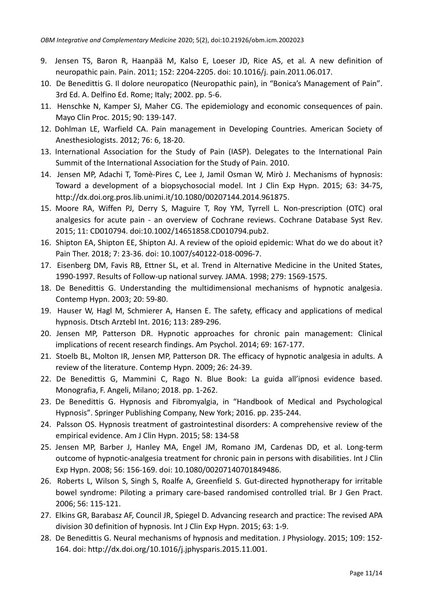- 9. Jensen TS, Baron R, Haanpää M, Kalso E, Loeser JD, Rice AS, et al. A new definition of neuropathic pain. Pain. 2011; 152: 2204-2205. doi: 10.1016/j. pain.2011.06.017.
- 10. De Benedittis G. Il dolore neuropatico (Neuropathic pain), in "Bonica's Management of Pain". 3rd Ed. A. Delfino Ed. Rome; Italy; 2002. pp. 5-6.
- 11. Henschke N, Kamper SJ, Maher CG. The epidemiology and economic consequences of pain. Mayo Clin Proc. 2015; 90: 139-147.
- 12. Dohlman LE, Warfield CA. Pain management in Developing Countries. American Society of Anesthesiologists. 2012; 76: 6, 18-20.
- 13. International Association for the Study of Pain (IASP). Delegates to the International Pain Summit of the International Association for the Study of Pain. 2010.
- 14. Jensen MP, Adachi T, Tomè-Pires C, Lee J, Jamil Osman W, Mirò J. Mechanisms of hypnosis: Toward a development of a biopsychosocial model. Int J Clin Exp Hypn. 2015; 63: 34-75, http://dx.doi.org.pros.lib.unimi.it/10.1080/00207144.2014.961875.
- 15. Moore RA, Wiffen PJ, Derry S, Maguire T, Roy YM, Tyrrell L. Non-prescription (OTC) oral analgesics for acute pain - an overview of Cochrane reviews. Cochrane Database Syst Rev. 2015; 11: CD010794. doi:10.1002/14651858.CD010794.pub2.
- 16. Shipton EA, Shipton EE, Shipton AJ. A review of the opioid epidemic: What do we do about it? Pain Ther. 2018; 7: 23-36. doi: 10.1007/s40122-018-0096-7.
- 17. Eisenberg DM, Favis RB, Ettner SL, et al. Trend in Alternative Medicine in the United States, 1990-1997. Results of Follow-up national survey. JAMA. 1998; 279: 1569-1575.
- 18. De Benedittis G. Understanding the multidimensional mechanisms of hypnotic analgesia. Contemp Hypn. 2003; 20: 59-80.
- 19. Hauser W, Hagl M, Schmierer A, Hansen E. The safety, efficacy and applications of medical hypnosis. Dtsch Arztebl Int. 2016; 113: 289-296.
- 20. Jensen MP, Patterson DR. Hypnotic approaches for chronic pain management: Clinical implications of recent research findings. Am Psychol. 2014; 69: 167-177.
- 21. Stoelb BL, Molton IR, Jensen MP, Patterson DR. The efficacy of hypnotic analgesia in adults. A review of the literature. Contemp Hypn. 2009; 26: 24-39.
- 22. De Benedittis G, Mammini C, Rago N. Blue Book: La guida all'ipnosi evidence based. Monografia, F. Angeli, Milano; 2018. pp. 1-262.
- 23. De Benedittis G. Hypnosis and Fibromyalgia, in "Handbook of Medical and Psychological Hypnosis". Springer Publishing Company, New York; 2016. pp. 235-244.
- 24. Palsson OS. Hypnosis treatment of gastrointestinal disorders: A comprehensive review of the empirical evidence. Am J Clin Hypn. 2015; 58: 134-58
- 25. Jensen MP, Barber J, Hanley MA, Engel JM, Romano JM, Cardenas DD, et al. Long-term outcome of hypnotic-analgesia treatment for chronic pain in persons with disabilities. Int J Clin Exp Hypn. 2008; 56: 156-169. doi: 10.1080/00207140701849486.
- 26. Roberts L, Wilson S, Singh S, Roalfe A, Greenfield S. Gut-directed hypnotherapy for irritable bowel syndrome: Piloting a primary care-based randomised controlled trial. Br J Gen Pract. 2006; 56: 115-121.
- 27. Elkins GR, Barabasz AF, Council JR, Spiegel D. Advancing research and practice: The revised APA division 30 definition of hypnosis. Int J Clin Exp Hypn. 2015; 63: 1-9.
- 28. De Benedittis G. Neural mechanisms of hypnosis and meditation. J Physiology. 2015; 109: 152- 164. doi: http://dx.doi.org/10.1016/j.jphysparis.2015.11.001.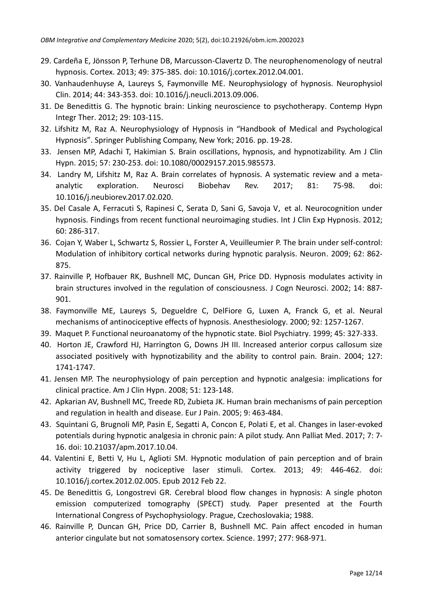- 29. Cardeña E, Jönsson P, Terhune DB, Marcusson-Clavertz D. The neurophenomenology of neutral hypnosis. Cortex. 2013; 49: 375-385. doi: 10.1016/j.cortex.2012.04.001.
- 30. Vanhaudenhuyse A, Laureys S, Faymonville ME. Neurophysiology of hypnosis. Neurophysiol Clin. 2014; 44: 343-353. doi: 10.1016/j.neucli.2013.09.006.
- 31. De Benedittis G. The hypnotic brain: Linking neuroscience to psychotherapy. Contemp Hypn Integr Ther. 2012; 29: 103-115.
- 32. Lifshitz M, Raz A. Neurophysiology of Hypnosis in "Handbook of Medical and Psychological Hypnosis". Springer Publishing Company, New York; 2016. pp. 19-28.
- 33. Jensen MP, Adachi T, Hakimian S. Brain oscillations, hypnosis, and hypnotizability. Am J Clin Hypn. 2015; 57: 230-253. doi: 10.1080/00029157.2015.985573.
- 34. Landry M, Lifshitz M, Raz A. Brain correlates of hypnosis. A systematic review and a metaanalytic exploration. Neurosci Biobehav Rev. 2017; 81: 75-98. doi: 10.1016/j.neubiorev.2017.02.020.
- 35. Del Casale A, Ferracuti S, Rapinesi C, Serata D, Sani G, Savoja V, et al. Neurocognition under hypnosis. Findings from recent functional neuroimaging studies. Int J Clin Exp Hypnosis. 2012; 60: 286-317.
- 36. Cojan Y, Waber L, Schwartz S, Rossier L, Forster A, Veuilleumier P. The brain under self-control: Modulation of inhibitory cortical networks during hypnotic paralysis. Neuron. 2009; 62: 862- 875.
- 37. Rainville P, Hofbauer RK, Bushnell MC, Duncan GH, Price DD. Hypnosis modulates activity in brain structures involved in the regulation of consciousness. J Cogn Neurosci. 2002; 14: 887- 901.
- 38. Faymonville ME, Laureys S, Degueldre C, DelFiore G, Luxen A, Franck G, et al. Neural mechanisms of antinociceptive effects of hypnosis. Anesthesiology. 2000; 92: 1257-1267.
- 39. Maquet P. Functional neuroanatomy of the hypnotic state. Biol Psychiatry. 1999; 45: 327-333.
- 40. Horton JE, Crawford HJ, Harrington G, Downs JH III. Increased anterior corpus callosum size associated positively with hypnotizability and the ability to control pain. Brain. 2004; 127: 1741-1747.
- 41. Jensen MP. The neurophysiology of pain perception and hypnotic analgesia: implications for clinical practice. Am J Clin Hypn. 2008; 51: 123-148.
- 42. Apkarian AV, Bushnell MC, Treede RD, Zubieta JK. Human brain mechanisms of pain perception and regulation in health and disease. Eur J Pain. 2005; 9: 463-484.
- 43. Squintani G, Brugnoli MP, Pasin E, Segatti A, Concon E, Polati E, et al. Changes in laser-evoked potentials during hypnotic analgesia in chronic pain: A pilot study. Ann Palliat Med. 2017; 7: 7- 16. doi: 10.21037/apm.2017.10.04.
- 44. Valentini E, Betti V, Hu L, Aglioti SM. Hypnotic modulation of pain perception and of brain activity triggered by nociceptive laser stimuli. Cortex. 2013; 49: 446-462. doi: 10.1016/j.cortex.2012.02.005. Epub 2012 Feb 22.
- 45. De Benedittis G, Longostrevi GR. Cerebral blood flow changes in hypnosis: A single photon emission computerized tomography (SPECT) study. Paper presented at the Fourth International Congress of Psychophysiology. Prague, Czechoslovakia; 1988.
- 46. Rainville P, Duncan GH, Price DD, Carrier B, Bushnell MC. Pain affect encoded in human anterior cingulate but not somatosensory cortex. Science. 1997; 277: 968-971.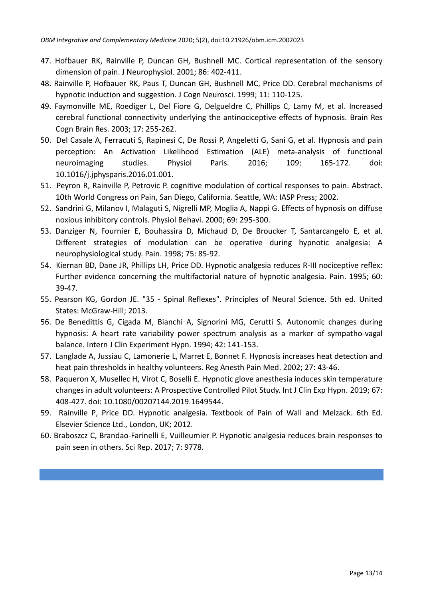- 47. Hofbauer RK, Rainville P, Duncan GH, Bushnell MC. Cortical representation of the sensory dimension of pain. J Neurophysiol. 2001; 86: 402-411.
- 48. Rainville P, Hofbauer RK, Paus T, Duncan GH, Bushnell MC, Price DD. Cerebral mechanisms of hypnotic induction and suggestion. J Cogn Neurosci. 1999; 11: 110-125.
- 49. Faymonville ME, Roediger L, Del Fiore G, Delgueldre C, Phillips C, Lamy M, et al. Increased cerebral functional connectivity underlying the antinociceptive effects of hypnosis. Brain Res Cogn Brain Res. 2003; 17: 255-262.
- 50. Del Casale A, Ferracuti S, Rapinesi C, De Rossi P, Angeletti G, Sani G, et al. Hypnosis and pain perception: An Activation Likelihood Estimation (ALE) meta-analysis of functional neuroimaging studies. Physiol Paris. 2016; 109: 165-172. doi: 10.1016/j.jphysparis.2016.01.001.
- 51. Peyron R, Rainville P, Petrovic P. cognitive modulation of cortical responses to pain. Abstract. 10th World Congress on Pain, San Diego, California. Seattle, WA: IASP Press; 2002.
- 52. Sandrini G, Milanov I, Malaguti S, Nigrelli MP, Moglia A, Nappi G. Effects of hypnosis on diffuse noxious inhibitory controls. Physiol Behavi. 2000; 69: 295-300.
- 53. Danziger N, Fournier E, Bouhassira D, Michaud D, De Broucker T, Santarcangelo E, et al. Different strategies of modulation can be operative during hypnotic analgesia: A neurophysiological study. Pain. 1998; 75: 85-92.
- 54. Kiernan BD, Dane JR, Phillips LH, Price DD. Hypnotic analgesia reduces R-III nociceptive reflex: Further evidence concerning the multifactorial nature of hypnotic analgesia. Pain. 1995; 60: 39-47.
- 55. Pearson KG, Gordon JE. "35 Spinal Reflexes". Principles of Neural Science. 5th ed. United States: McGraw-Hill; 2013.
- 56. De Benedittis G, Cigada M, Bianchi A, Signorini MG, Cerutti S. Autonomic changes during hypnosis: A heart rate variability power spectrum analysis as a marker of sympatho-vagal balance. Intern J Clin Experiment Hypn. 1994; 42: 141-153.
- 57. Langlade A, Jussiau C, Lamonerie L, Marret E, Bonnet F. Hypnosis increases heat detection and heat pain thresholds in healthy volunteers. Reg Anesth Pain Med. 2002; 27: 43-46.
- 58. Paqueron X, Musellec H, Virot C, Boselli E. Hypnotic glove anesthesia induces skin temperature changes in adult volunteers: A Prospective Controlled Pilot Study. Int J Clin Exp Hypn. 2019; 67: 408-427. doi: 10.1080/00207144.2019.1649544.
- 59. Rainville P, Price DD. Hypnotic analgesia. Textbook of Pain of Wall and Melzack. 6th Ed. Elsevier Science Ltd., London, UK; 2012.
- 60. Braboszcz C, Brandao-Farinelli E, Vuilleumier P. Hypnotic analgesia reduces brain responses to pain seen in others. Sci Rep. 2017; 7: 9778.